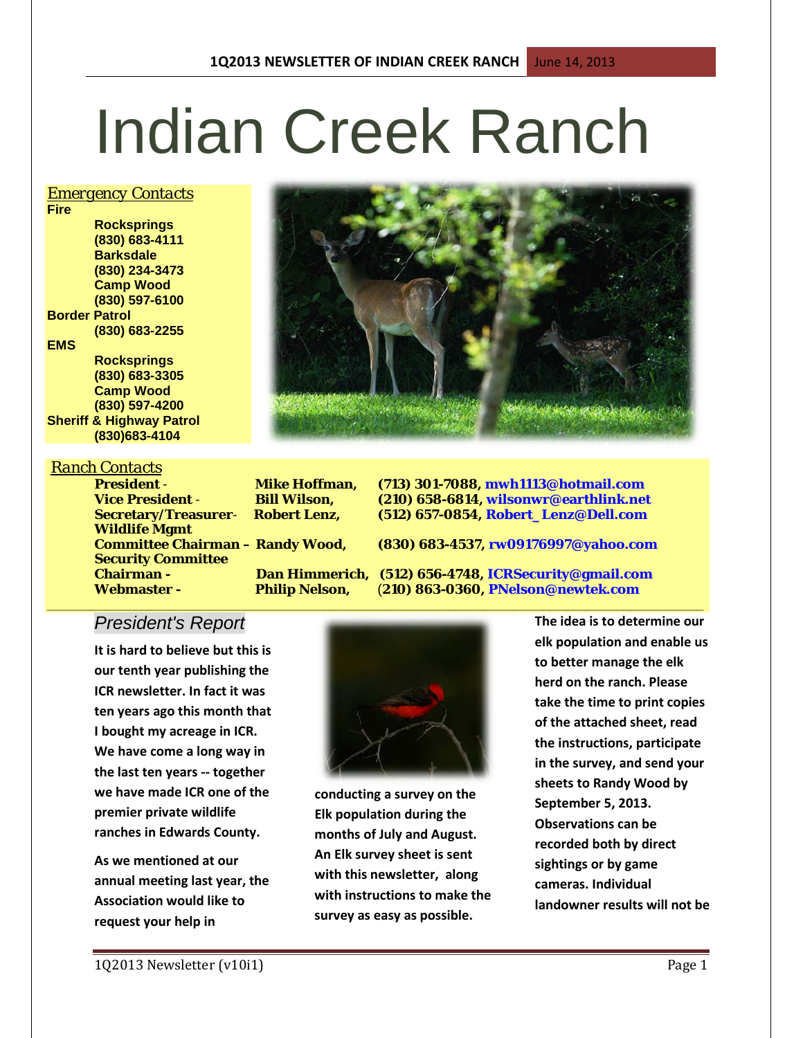# Indian Creek Ranch

#### *Emergency Contacts*

**Fire Rocksprings (830) 683-4111 Barksdale (830) 234-3473 Camp Wood (830) 597-6100 Border Patrol (830) 683-2255 EMS Rocksprings (830) 683-3305 Camp Wood**

**(830) 597-4200 Sheriff & Highway Patrol (830)683-4104**

#### *Ranch Contacts*

**Wildlife Mgmt Security Committee** 

**President** - **Mike Hoffman, (713) 301-7088, mwh1113@hotmail.com Vice President** - **Bill Wilson, (210) 658-6814, wilsonwr@earthlink.net Secretary/Treasurer**- **Robert Lenz, (512) 657-0854, Robert\_Lenz@Dell.com**

**Committee Chairman – Randy Wood, (830) 683-4537, rw09176997@yahoo.com**

**Chairman - Dan Himmerich, (512) 656-4748, ICRSecurity@gmail.com Webmaster - Philip Nelson,** (**210) 863-0360, PNelson@newtek.com**

# *President's Report*

**It is hard to believe but this is our tenth year publishing the ICR newsletter. In fact it was ten years ago this month that I bought my acreage in ICR. We have come a long way in the last ten years -- together we have made ICR one of the premier private wildlife ranches in Edwards County.**

**As we mentioned at our annual meeting last year, the Association would like to request your help in** 



**\_\_\_\_\_\_\_\_\_\_\_\_\_\_\_\_\_\_\_\_\_\_\_\_\_\_\_\_\_\_\_\_\_\_\_\_\_\_\_\_\_\_\_\_\_\_\_\_\_\_\_\_\_\_\_\_\_\_\_\_\_\_\_\_\_\_\_\_\_\_\_\_\_\_\_\_\_\_\_\_\_\_\_\_\_\_\_\_\_\_**

**conducting a survey on the Elk population during the months of July and August. An Elk survey sheet is sent with this newsletter, along with instructions to make the survey as easy as possible.**

**The idea is to determine our elk population and enable us to better manage the elk herd on the ranch. Please take the time to print copies of the attached sheet, read the instructions, participate in the survey, and send your sheets to Randy Wood by September 5, 2013. Observations can be recorded both by direct sightings or by game cameras. Individual landowner results will not be**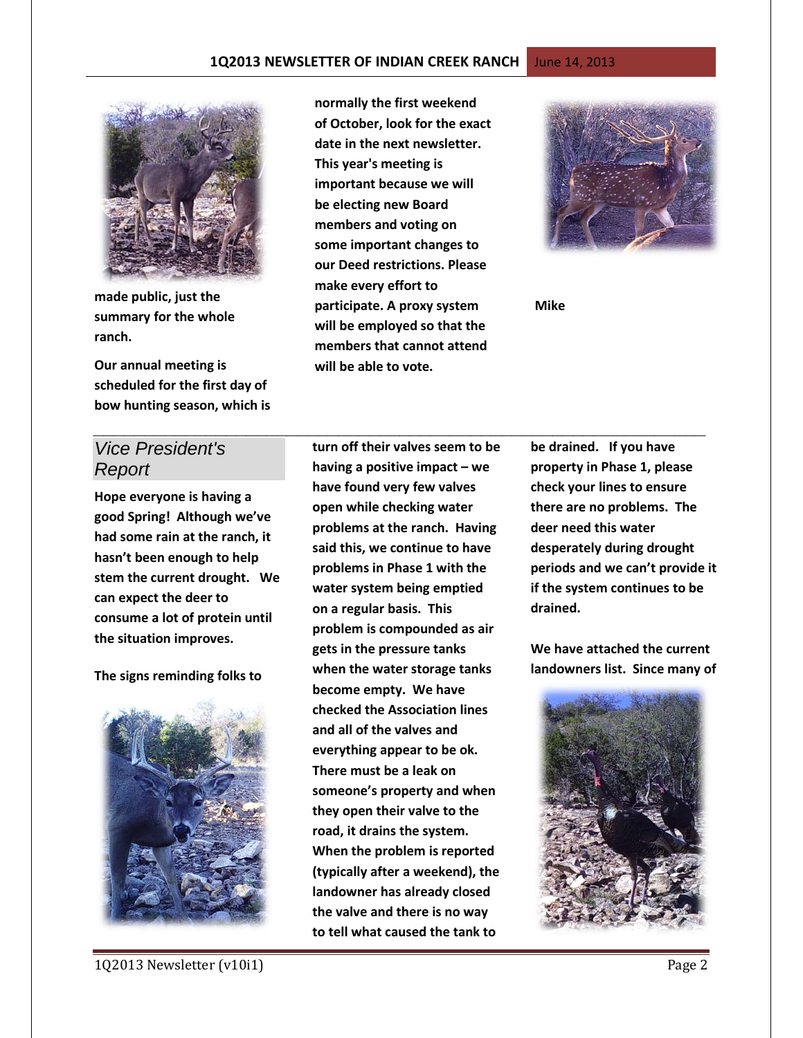#### **1Q2013 NEWSLETTER OF INDIAN CREEK RANCH** June 14, 2013



**made public, just the summary for the whole ranch.**

**Our annual meeting is scheduled for the first day of bow hunting season, which is** 

**normally the first weekend of October, look for the exact date in the next newsletter. This year's meeting is important because we will be electing new Board members and voting on some important changes to our Deed restrictions. Please make every effort to participate. A proxy system will be employed so that the members that cannot attend will be able to vote.**

*\_\_\_\_\_\_\_\_\_\_\_\_\_\_\_\_\_\_\_\_\_\_\_\_\_\_\_\_\_\_\_\_\_\_\_\_\_\_\_\_\_\_\_\_\_\_\_\_\_\_\_\_\_\_\_\_\_\_\_\_*



**Mike**

# *Vice President's Report*

**Hope everyone is having a good Spring! Although we've had some rain at the ranch, it hasn't been enough to help stem the current drought. We can expect the deer to consume a lot of protein until the situation improves.** 

**The signs reminding folks to** 



**turn off their valves seem to be having a positive impact – we have found very few valves open while checking water problems at the ranch. Having said this, we continue to have problems in Phase 1 with the water system being emptied on a regular basis. This problem is compounded as air gets in the pressure tanks when the water storage tanks become empty. We have checked the Association lines and all of the valves and everything appear to be ok. There must be a leak on someone's property and when they open their valve to the road, it drains the system. When the problem is reported (typically after a weekend), the landowner has already closed the valve and there is no way to tell what caused the tank to** 

**be drained. If you have property in Phase 1, please check your lines to ensure there are no problems. The deer need this water desperately during drought periods and we can't provide it if the system continues to be drained.**

**We have attached the current landowners list. Since many of** 

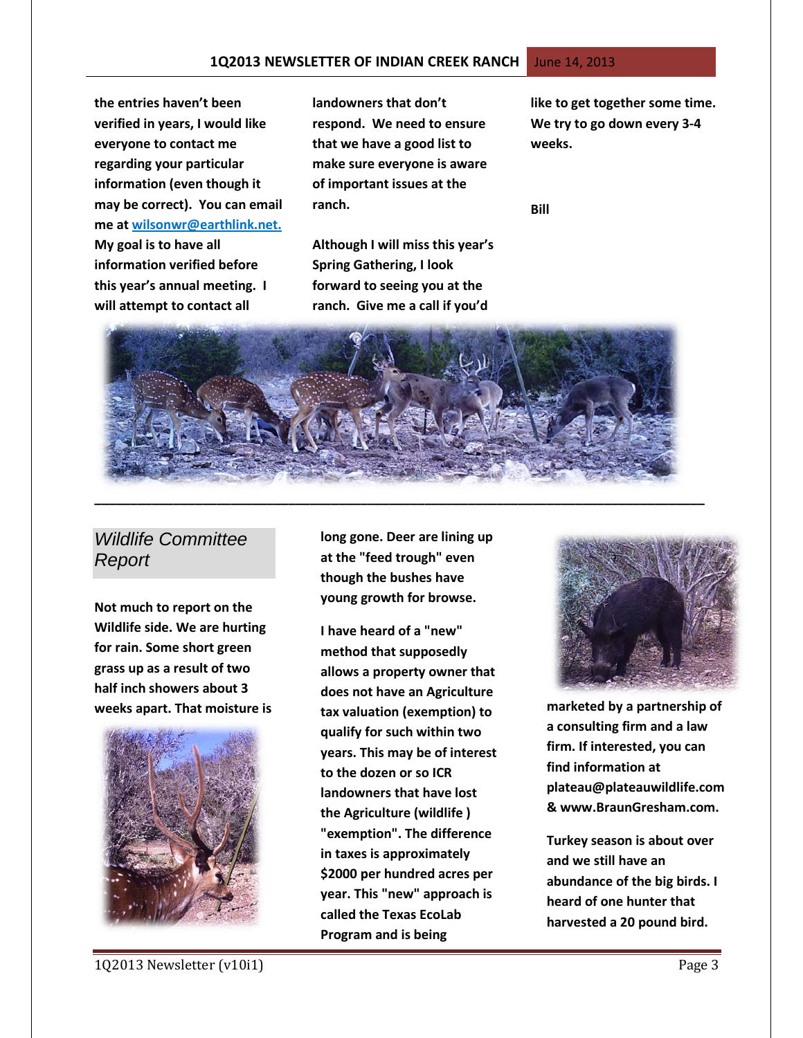**the entries haven't been verified in years, I would like everyone to contact me regarding your particular information (even though it may be correct). You can email me at wilsonwr@earthlink.net. My goal is to have all information verified before this year's annual meeting. I will attempt to contact all** 

**landowners that don't respond. We need to ensure that we have a good list to make sure everyone is aware of important issues at the ranch.**

**Although I will miss this year's Spring Gathering, I look forward to seeing you at the ranch. Give me a call if you'd** 

**like to get together some time. We try to go down every 3-4 weeks.**

**Bill**



# *Wildlife Committee Report*

**Not much to report on the Wildlife side. We are hurting for rain. Some short green grass up as a result of two half inch showers about 3 weeks apart. That moisture is** 



**long gone. Deer are lining up at the "feed trough" even though the bushes have young growth for browse.** 

**I have heard of a "new" method that supposedly allows a property owner that does not have an Agriculture tax valuation (exemption) to qualify for such within two years. This may be of interest to the dozen or so ICR landowners that have lost the Agriculture (wildlife ) "exemption". The difference in taxes is approximately \$2000 per hundred acres per year. This "new" approach is called the Texas EcoLab Program and is being** 



**marketed by a partnership of a consulting firm and a law firm. If interested, you can find information at [plateau@plateauwildlife.com](mailto:plateau@plateauwildlife,com) & [www.BraunGresham.com.](http://www.braungresham.com/)** 

**Turkey season is about over and we still have an abundance of the big birds. I heard of one hunter that harvested a 20 pound bird.**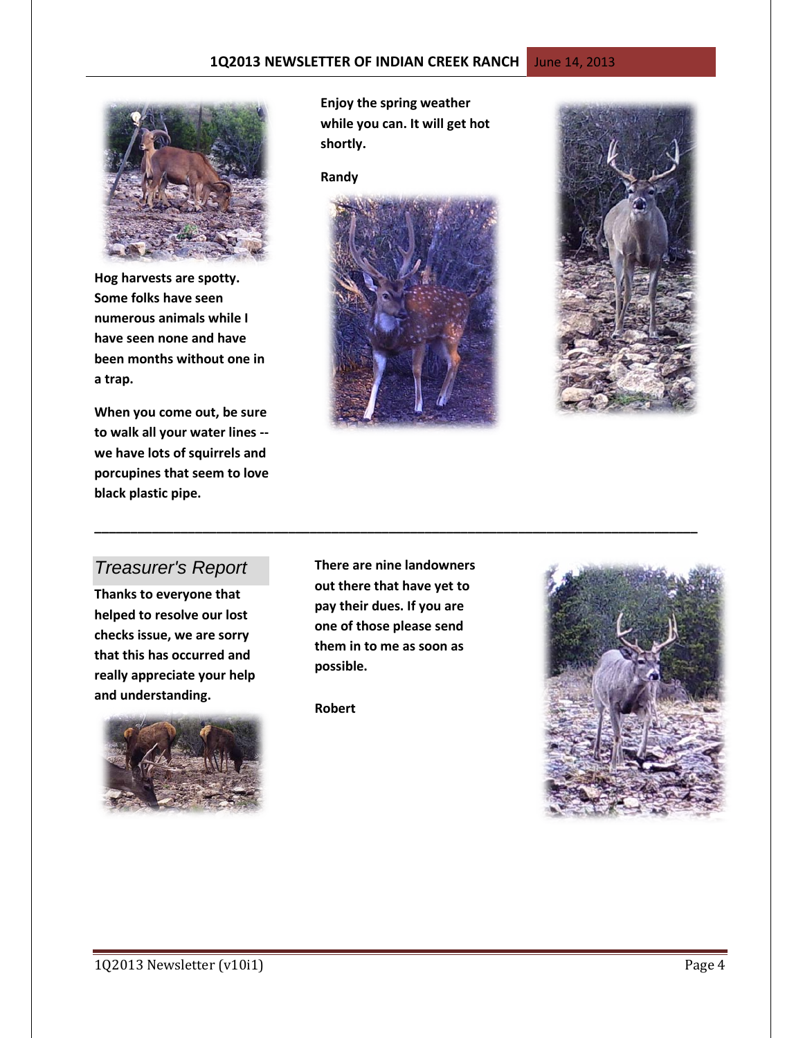

**Hog harvests are spotty. Some folks have seen numerous animals while I have seen none and have been months without one in a trap.** 

**When you come out, be sure to walk all your water lines - we have lots of squirrels and porcupines that seem to love black plastic pipe.** 

**Enjoy the spring weather while you can. It will get hot shortly.**

**Randy**





### *Treasurer's Report*

**Thanks to everyone that helped to resolve our lost checks issue, we are sorry that this has occurred and really appreciate your help and understanding.**



**There are nine landowners out there that have yet to pay their dues. If you are one of those please send them in to me as soon as possible.**

**\_\_\_\_\_\_\_\_\_\_\_\_\_\_\_\_\_\_\_\_\_\_\_\_\_\_\_\_\_\_\_\_\_\_\_\_\_\_\_\_\_\_\_\_\_\_\_\_\_\_\_\_\_\_\_\_\_\_\_\_\_\_\_\_\_\_\_\_\_\_\_\_\_\_\_\_\_\_\_\_\_\_\_\_**

**Robert** 

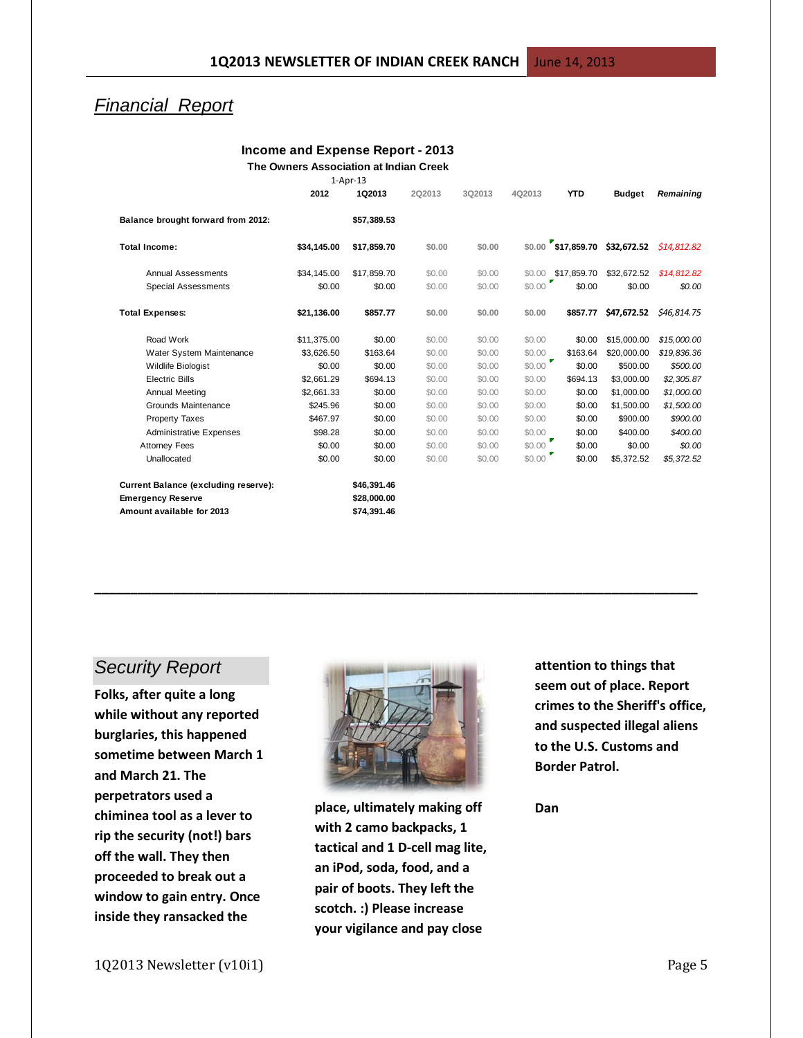## *Financial Report*

#### **Income and Expense Report - 2013 The Owners Association at Indian Creek**

|  | The Owners Association at Indian Creek |  |
|--|----------------------------------------|--|
|  | $1-Apr-13$                             |  |

|                                                                                               | 2012        | 1Q2013                                    | 2Q2013 | 3Q2013 | 4Q2013      | <b>YTD</b>         | <b>Budget</b>                               | Remaining   |
|-----------------------------------------------------------------------------------------------|-------------|-------------------------------------------|--------|--------|-------------|--------------------|---------------------------------------------|-------------|
| Balance brought forward from 2012:                                                            |             | \$57,389.53                               |        |        |             |                    |                                             |             |
| <b>Total Income:</b>                                                                          | \$34,145.00 | \$17,859.70                               | \$0.00 | \$0.00 |             |                    | $$0.00$ \$17,859.70 \$32,672.52 \$14,812.82 |             |
| <b>Annual Assessments</b>                                                                     | \$34,145.00 | \$17,859.70                               | \$0.00 | \$0.00 |             | \$0.00 \$17,859.70 | \$32,672.52                                 | \$14,812.82 |
| <b>Special Assessments</b>                                                                    | \$0.00      | \$0.00                                    | \$0.00 | \$0.00 | \$0.00      | \$0.00             | \$0.00                                      | \$0.00      |
| <b>Total Expenses:</b>                                                                        | \$21,136.00 | \$857.77                                  | \$0.00 | \$0.00 | \$0.00      | \$857.77           | \$47,672.52                                 | \$46,814.75 |
| Road Work                                                                                     | \$11,375.00 | \$0.00                                    | \$0.00 | \$0.00 | \$0.00      | \$0.00             | \$15,000.00                                 | \$15,000.00 |
| Water System Maintenance                                                                      | \$3,626.50  | \$163.64                                  | \$0.00 | \$0.00 | \$0.00      | \$163.64           | \$20,000.00                                 | \$19,836.36 |
| <b>Wildlife Biologist</b>                                                                     | \$0.00      | \$0.00                                    | \$0.00 | \$0.00 | \$0.00      | \$0.00             | \$500.00                                    | \$500.00    |
| <b>Electric Bills</b>                                                                         | \$2.661.29  | \$694.13                                  | \$0.00 | \$0.00 | \$0.00      | \$694.13           | \$3,000.00                                  | \$2,305.87  |
| <b>Annual Meeting</b>                                                                         | \$2,661.33  | \$0.00                                    | \$0.00 | \$0.00 | \$0.00      | \$0.00             | \$1,000.00                                  | \$1,000.00  |
| Grounds Maintenance                                                                           | \$245.96    | \$0.00                                    | \$0.00 | \$0.00 | \$0.00      | \$0.00             | \$1,500.00                                  | \$1,500.00  |
| Property Taxes                                                                                | \$467.97    | \$0.00                                    | \$0.00 | \$0.00 | \$0.00      | \$0.00             | \$900.00                                    | \$900.00    |
| <b>Administrative Expenses</b>                                                                | \$98.28     | \$0.00                                    | \$0.00 | \$0.00 | \$0.00      | \$0.00             | \$400.00                                    | \$400.00    |
| <b>Attorney Fees</b>                                                                          | \$0.00      | \$0.00                                    | \$0.00 | \$0.00 | F<br>\$0.00 | \$0.00             | \$0.00                                      | \$0.00      |
| Unallocated                                                                                   | \$0.00      | \$0.00                                    | \$0.00 | \$0.00 | \$0.00      | \$0.00             | \$5,372.52                                  | \$5,372.52  |
| Current Balance (excluding reserve):<br><b>Emergency Reserve</b><br>Amount available for 2013 |             | \$46,391.46<br>\$28,000.00<br>\$74,391.46 |        |        |             |                    |                                             |             |

#### *Security Report*

**Folks, after quite a long while without any reported burglaries, this happened sometime between March 1 and March 21. The perpetrators used a chiminea tool as a lever to rip the security (not!) bars off the wall. They then proceeded to break out a window to gain entry. Once inside they ransacked the** 



**\_\_\_\_\_\_\_\_\_\_\_\_\_\_\_\_\_\_\_\_\_\_\_\_\_\_\_\_\_\_\_\_\_\_\_\_\_\_\_\_\_\_\_\_\_\_\_\_\_\_\_\_\_\_\_\_\_\_\_\_\_\_\_\_\_\_\_\_\_\_\_\_\_\_\_\_\_\_\_\_\_\_\_\_**

**place, ultimately making off with 2 camo backpacks, 1 tactical and 1 D-cell mag lite, an iPod, soda, food, and a pair of boots. They left the scotch. :) Please increase your vigilance and pay close** 

**attention to things that seem out of place. Report crimes to the Sheriff's office, and suspected illegal aliens to the U.S. Customs and Border Patrol.** 

**Dan**